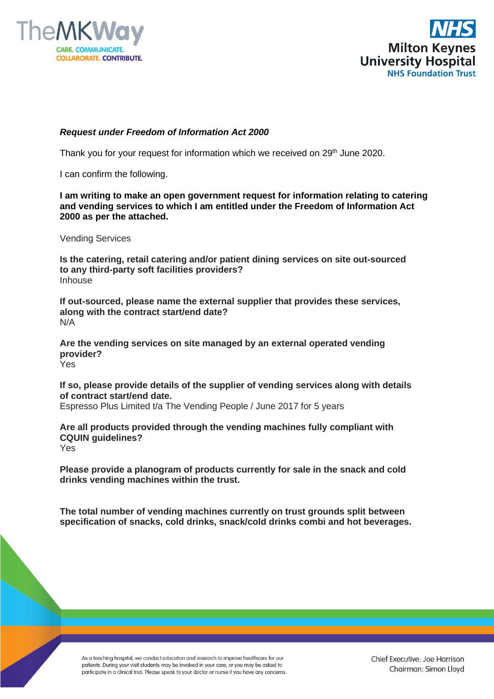



## *Request under Freedom of Information Act 2000*

Thank you for your request for information which we received on 29<sup>th</sup> June 2020.

I can confirm the following.

**I am writing to make an open government request for information relating to catering and vending services to which I am entitled under the Freedom of Information Act 2000 as per the attached.**

Vending Services

**Is the catering, retail catering and/or patient dining services on site out-sourced to any third-party soft facilities providers?** Inhouse

**If out-sourced, please name the external supplier that provides these services, along with the contract start/end date?** N/A

**Are the vending services on site managed by an external operated vending provider?** Yes

**If so, please provide details of the supplier of vending services along with details of contract start/end date.**

Espresso Plus Limited t/a The Vending People / June 2017 for 5 years

**Are all products provided through the vending machines fully compliant with CQUIN guidelines?** Yes

**Please provide a planogram of products currently for sale in the snack and cold drinks vending machines within the trust.**

**The total number of vending machines currently on trust grounds split between specification of snacks, cold drinks, snack/cold drinks combi and hot beverages.**

As a teaching hospital, we conduct education and research to improve healthcare for our patients. During your visit students may be involved in your care, or you may be asked to participate in a clinical trial. Please speak to your doctor or nurse if you have any concerns.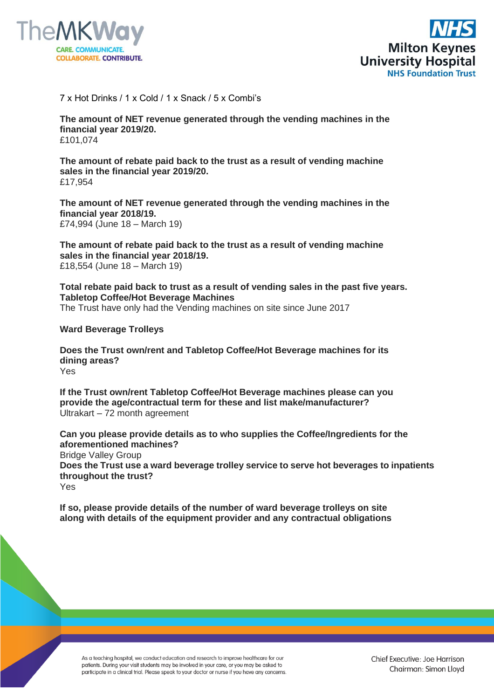



7 x Hot Drinks / 1 x Cold / 1 x Snack / 5 x Combi's

**The amount of NET revenue generated through the vending machines in the financial year 2019/20.** £101,074

**The amount of rebate paid back to the trust as a result of vending machine sales in the financial year 2019/20.** £17,954

**The amount of NET revenue generated through the vending machines in the financial year 2018/19.** £74,994 (June 18 – March 19)

**The amount of rebate paid back to the trust as a result of vending machine sales in the financial year 2018/19.** £18,554 (June 18 – March 19)

**Total rebate paid back to trust as a result of vending sales in the past five years. Tabletop Coffee/Hot Beverage Machines** The Trust have only had the Vending machines on site since June 2017

**Ward Beverage Trolleys**

**Does the Trust own/rent and Tabletop Coffee/Hot Beverage machines for its dining areas?** Yes

**If the Trust own/rent Tabletop Coffee/Hot Beverage machines please can you provide the age/contractual term for these and list make/manufacturer?** Ultrakart – 72 month agreement

**Can you please provide details as to who supplies the Coffee/Ingredients for the aforementioned machines?** Bridge Valley Group **Does the Trust use a ward beverage trolley service to serve hot beverages to inpatients throughout the trust?**

Yes

**If so, please provide details of the number of ward beverage trolleys on site along with details of the equipment provider and any contractual obligations**

As a teaching hospital, we conduct education and research to improve healthcare for our patients. During your visit students may be involved in your care, or you may be asked to participate in a clinical trial. Please speak to your doctor or nurse if you have any concerns.